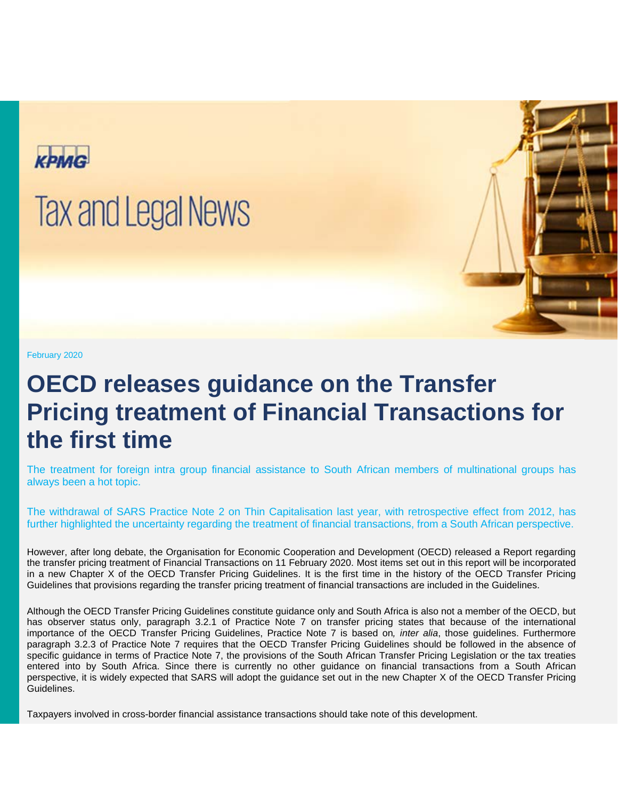

## **Tax and Legal News**

February 2020

## **OECD releases guidance on the Transfer Pricing treatment of Financial Transactions for the first time**

The treatment for foreign intra group financial assistance to South African members of multinational groups has always been a hot topic.

The withdrawal of SARS Practice Note 2 on Thin Capitalisation last year, with retrospective effect from 2012, has further highlighted the uncertainty regarding the treatment of financial transactions, from a South African perspective.

However, after long debate, the Organisation for Economic Cooperation and Development (OECD) released a Report regarding the transfer pricing treatment of Financial Transactions on 11 February 2020. Most items set out in this report will be incorporated in a new Chapter X of the OECD Transfer Pricing Guidelines. It is the first time in the history of the OECD Transfer Pricing Guidelines that provisions regarding the transfer pricing treatment of financial transactions are included in the Guidelines.

Although the OECD Transfer Pricing Guidelines constitute guidance only and South Africa is also not a member of the OECD, but has observer status only, paragraph 3.2.1 of Practice Note 7 on transfer pricing states that because of the international importance of the OECD Transfer Pricing Guidelines, Practice Note 7 is based on*, inter alia*, those guidelines. Furthermore paragraph 3.2.3 of Practice Note 7 requires that the OECD Transfer Pricing Guidelines should be followed in the absence of specific guidance in terms of Practice Note 7, the provisions of the South African Transfer Pricing Legislation or the tax treaties entered into by South Africa. Since there is currently no other guidance on financial transactions from a South African perspective, it is widely expected that SARS will adopt the guidance set out in the new Chapter X of the OECD Transfer Pricing Guidelines.

Taxpayers involved in cross-border financial assistance transactions should take note of this development.